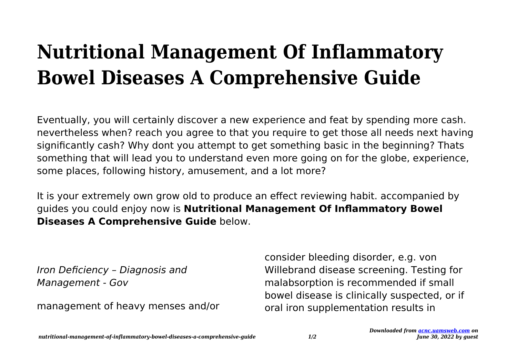## **Nutritional Management Of Inflammatory Bowel Diseases A Comprehensive Guide**

Eventually, you will certainly discover a new experience and feat by spending more cash. nevertheless when? reach you agree to that you require to get those all needs next having significantly cash? Why dont you attempt to get something basic in the beginning? Thats something that will lead you to understand even more going on for the globe, experience, some places, following history, amusement, and a lot more?

It is your extremely own grow old to produce an effect reviewing habit. accompanied by guides you could enjoy now is **Nutritional Management Of Inflammatory Bowel Diseases A Comprehensive Guide** below.

Iron Deficiency – Diagnosis and Management - Gov

management of heavy menses and/or

consider bleeding disorder, e.g. von Willebrand disease screening. Testing for malabsorption is recommended if small bowel disease is clinically suspected, or if oral iron supplementation results in